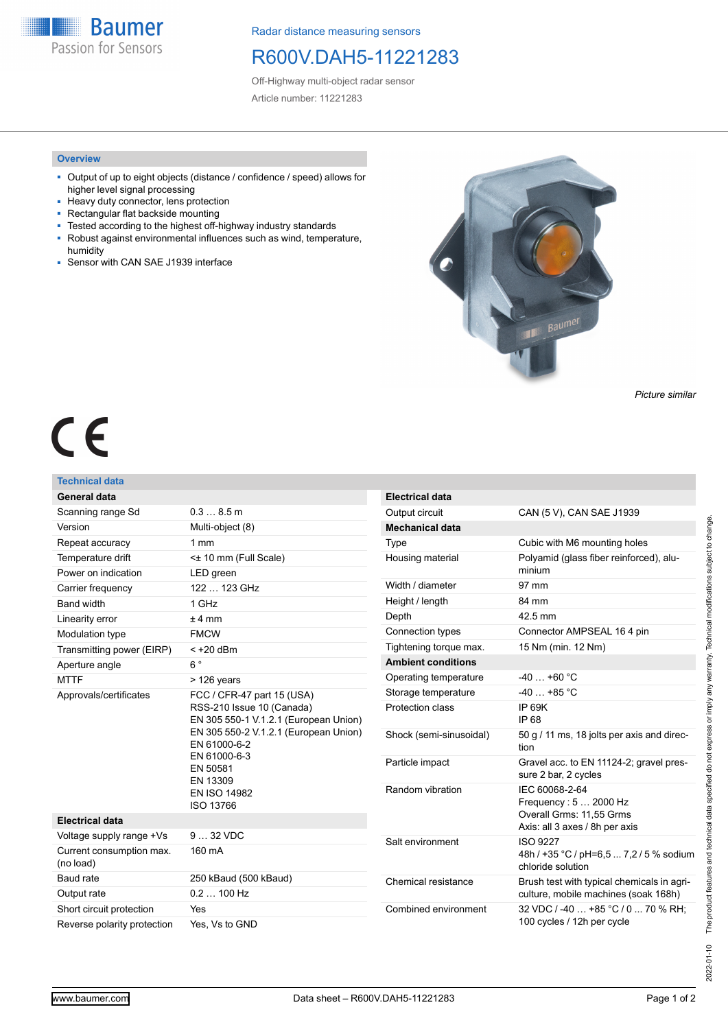**Baumer** Passion for Sensors

Radar distance measuring sensors

# R600V.DAH5-11221283

Off-Highway multi-object radar sensor Article number: 11221283

### **Overview**

- Output of up to eight objects (distance / confidence / speed) allows for higher level signal processing
- Heavy duty connector, lens protection
- Rectangular flat backside mounting
- Tested according to the highest off-highway industry standards ■ Robust against environmental influences such as wind, temperature, humidity
- Sensor with CAN SAE J1939 interface



*Picture similar*

# $\epsilon$

## **Technical data**

| <b>General data</b>                   |                                                                                                                                                                                                                                       | <b>Electrical data</b>    |                                                                                    |
|---------------------------------------|---------------------------------------------------------------------------------------------------------------------------------------------------------------------------------------------------------------------------------------|---------------------------|------------------------------------------------------------------------------------|
| Scanning range Sd                     | 0.38.5m                                                                                                                                                                                                                               | Output circuit            | CAN (5 V), CAN SAE J1939                                                           |
| Version                               | Multi-object (8)                                                                                                                                                                                                                      | <b>Mechanical data</b>    |                                                                                    |
| Repeat accuracy                       | 1 <sub>mm</sub>                                                                                                                                                                                                                       | Type                      | Cubic with M6 mounting holes                                                       |
| Temperature drift                     | < $\pm$ 10 mm (Full Scale)                                                                                                                                                                                                            | Housing material          | Polyamid (glass fiber reinforced), alu-                                            |
| Power on indication                   | LED green                                                                                                                                                                                                                             |                           | minium                                                                             |
| Carrier frequency                     | 122  123 GHz                                                                                                                                                                                                                          | Width / diameter          | 97 mm                                                                              |
| <b>Band width</b>                     | 1 GHz                                                                                                                                                                                                                                 | Height / length           | 84 mm                                                                              |
| Linearity error                       | $±4$ mm                                                                                                                                                                                                                               | Depth                     | 42.5 mm                                                                            |
| Modulation type                       | <b>FMCW</b>                                                                                                                                                                                                                           | Connection types          | Connector AMPSEAL 16 4 pin                                                         |
| Transmitting power (EIRP)             | $<$ +20 dBm                                                                                                                                                                                                                           | Tightening torque max.    | 15 Nm (min. 12 Nm)                                                                 |
| Aperture angle                        | $6^{\circ}$                                                                                                                                                                                                                           | <b>Ambient conditions</b> |                                                                                    |
| <b>MTTF</b>                           | $>126$ years                                                                                                                                                                                                                          | Operating temperature     | $-40+60$ °C                                                                        |
| Approvals/certificates                | FCC / CFR-47 part 15 (USA)<br>RSS-210 Issue 10 (Canada)<br>EN 305 550-1 V.1.2.1 (European Union)<br>EN 305 550-2 V.1.2.1 (European Union)<br>EN 61000-6-2<br>EN 61000-6-3<br>EN 50581<br>EN 13309<br><b>EN ISO 14982</b><br>ISO 13766 | Storage temperature       | $-40+85$ °C                                                                        |
|                                       |                                                                                                                                                                                                                                       | Protection class          | IP 69K<br>IP 68                                                                    |
|                                       |                                                                                                                                                                                                                                       | Shock (semi-sinusoidal)   | 50 g / 11 ms, 18 jolts per axis and direc-<br>tion                                 |
|                                       |                                                                                                                                                                                                                                       | Particle impact           | Gravel acc. to EN 11124-2; gravel pres-<br>sure 2 bar, 2 cycles                    |
|                                       |                                                                                                                                                                                                                                       | Random vibration          | IEC 60068-2-64<br>Frequency: 5  2000 Hz<br>Overall Grms: 11.55 Grms                |
| <b>Electrical data</b>                |                                                                                                                                                                                                                                       |                           | Axis: all 3 axes / 8h per axis                                                     |
| Voltage supply range +Vs              | 9  32 VDC                                                                                                                                                                                                                             | Salt environment          | <b>ISO 9227</b>                                                                    |
| Current consumption max.<br>(no load) | 160 mA                                                                                                                                                                                                                                |                           | 48h / +35 °C / pH=6,5  7,2 / 5 % sodium<br>chloride solution                       |
| Baud rate                             | 250 kBaud (500 kBaud)                                                                                                                                                                                                                 | Chemical resistance       | Brush test with typical chemicals in agri-<br>culture, mobile machines (soak 168h) |
| Output rate                           | $0.2100$ Hz                                                                                                                                                                                                                           |                           |                                                                                    |
| Short circuit protection              | Yes                                                                                                                                                                                                                                   | Combined environment      | 32 VDC / -40  +85 °C / 0  70 % RH;                                                 |
| Reverse polarity protection           | Yes, Vs to GND                                                                                                                                                                                                                        |                           | 100 cycles / 12h per cycle                                                         |